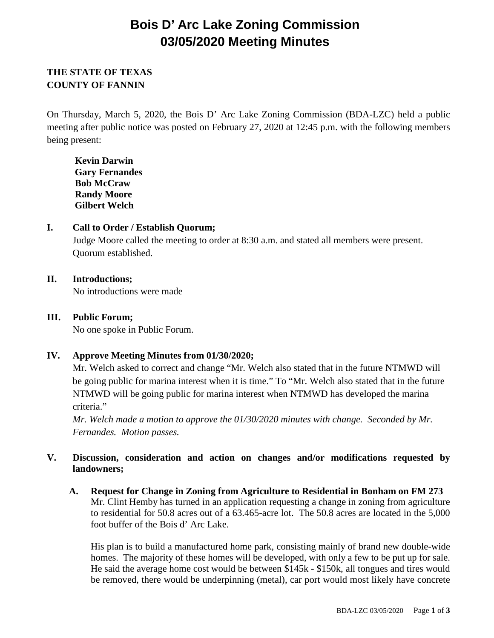# **Bois D' Arc Lake Zoning Commission 03/05/2020 Meeting Minutes**

# **THE STATE OF TEXAS COUNTY OF FANNIN**

On Thursday, March 5, 2020, the Bois D' Arc Lake Zoning Commission (BDA-LZC) held a public meeting after public notice was posted on February 27, 2020 at 12:45 p.m. with the following members being present:

**Kevin Darwin Gary Fernandes Bob McCraw Randy Moore Gilbert Welch**

# **I. Call to Order / Establish Quorum;**

Judge Moore called the meeting to order at 8:30 a.m. and stated all members were present. Quorum established.

## **II. Introductions;**

No introductions were made

## **III. Public Forum;**

No one spoke in Public Forum.

#### **IV. Approve Meeting Minutes from 01/30/2020;**

Mr. Welch asked to correct and change "Mr. Welch also stated that in the future NTMWD will be going public for marina interest when it is time." To "Mr. Welch also stated that in the future NTMWD will be going public for marina interest when NTMWD has developed the marina criteria."

*Mr. Welch made a motion to approve the 01/30/2020 minutes with change. Seconded by Mr. Fernandes. Motion passes.*

# **V. Discussion, consideration and action on changes and/or modifications requested by landowners;**

**A. Request for Change in Zoning from Agriculture to Residential in Bonham on FM 273**  Mr. Clint Hemby has turned in an application requesting a change in zoning from agriculture to residential for 50.8 acres out of a 63.465-acre lot. The 50.8 acres are located in the 5,000 foot buffer of the Bois d' Arc Lake.

His plan is to build a manufactured home park, consisting mainly of brand new double-wide homes. The majority of these homes will be developed, with only a few to be put up for sale. He said the average home cost would be between \$145k - \$150k, all tongues and tires would be removed, there would be underpinning (metal), car port would most likely have concrete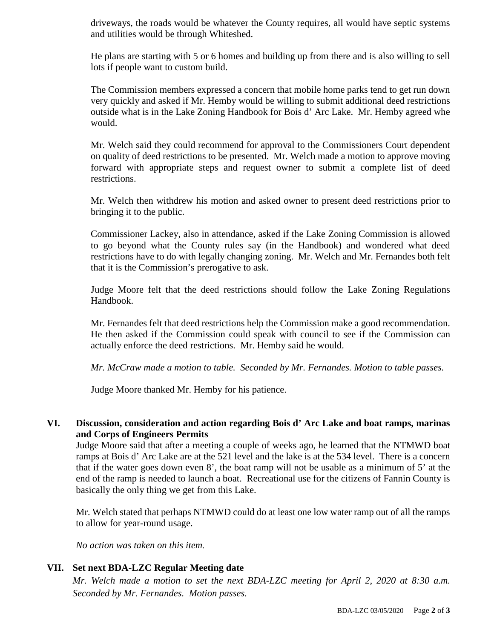driveways, the roads would be whatever the County requires, all would have septic systems and utilities would be through Whiteshed.

He plans are starting with 5 or 6 homes and building up from there and is also willing to sell lots if people want to custom build.

The Commission members expressed a concern that mobile home parks tend to get run down very quickly and asked if Mr. Hemby would be willing to submit additional deed restrictions outside what is in the Lake Zoning Handbook for Bois d' Arc Lake. Mr. Hemby agreed whe would.

Mr. Welch said they could recommend for approval to the Commissioners Court dependent on quality of deed restrictions to be presented. Mr. Welch made a motion to approve moving forward with appropriate steps and request owner to submit a complete list of deed restrictions.

Mr. Welch then withdrew his motion and asked owner to present deed restrictions prior to bringing it to the public.

Commissioner Lackey, also in attendance, asked if the Lake Zoning Commission is allowed to go beyond what the County rules say (in the Handbook) and wondered what deed restrictions have to do with legally changing zoning. Mr. Welch and Mr. Fernandes both felt that it is the Commission's prerogative to ask.

Judge Moore felt that the deed restrictions should follow the Lake Zoning Regulations Handbook.

Mr. Fernandes felt that deed restrictions help the Commission make a good recommendation. He then asked if the Commission could speak with council to see if the Commission can actually enforce the deed restrictions. Mr. Hemby said he would.

*Mr. McCraw made a motion to table. Seconded by Mr. Fernandes. Motion to table passes.*

Judge Moore thanked Mr. Hemby for his patience.

## **VI. Discussion, consideration and action regarding Bois d' Arc Lake and boat ramps, marinas and Corps of Engineers Permits**

Judge Moore said that after a meeting a couple of weeks ago, he learned that the NTMWD boat ramps at Bois d' Arc Lake are at the 521 level and the lake is at the 534 level. There is a concern that if the water goes down even 8', the boat ramp will not be usable as a minimum of 5' at the end of the ramp is needed to launch a boat. Recreational use for the citizens of Fannin County is basically the only thing we get from this Lake.

Mr. Welch stated that perhaps NTMWD could do at least one low water ramp out of all the ramps to allow for year-round usage.

*No action was taken on this item.*

# **VII. Set next BDA-LZC Regular Meeting date**

*Mr. Welch made a motion to set the next BDA-LZC meeting for April 2, 2020 at 8:30 a.m. Seconded by Mr. Fernandes. Motion passes.*